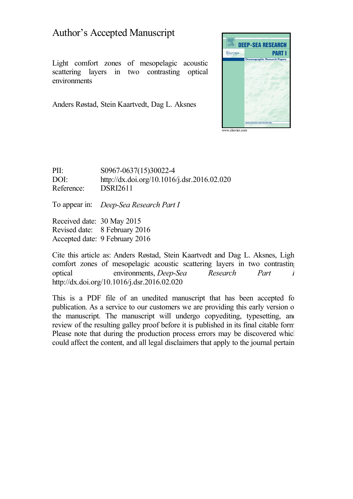# Author's Accepted Manuscript

Light comfort zones of mesopelagic acoustic scattering layers in two contrasting optical environments

Anders Røstad, Stein Kaartvedt, Dag L. Aksnes



PII: S0967-0637(15)30022-4 DOI: <http://dx.doi.org/10.1016/j.dsr.2016.02.020> Reference: DSRI2611

To appear in: *Deep-Sea Research Part I*

Received date: 30 May 2015 Revised date: 8 February 2016 Accepted date: 9 February 2016

Cite this article as: Anders Røstad, Stein Kaartvedt and Dag L. Aksnes, Light comfort zones of mesopelagic acoustic scattering layers in two contrasting optical environments, *Deep-Sea Research Part I,* <http://dx.doi.org/10.1016/j.dsr.2016.02.020>

This is a PDF file of an unedited manuscript that has been accepted for publication. As a service to our customers we are providing this early version of the manuscript. The manuscript will undergo copyediting, typesetting, and review of the resulting galley proof before it is published in its final citable form. Please note that during the production process errors may be discovered which could affect the content, and all legal disclaimers that apply to the journal pertain.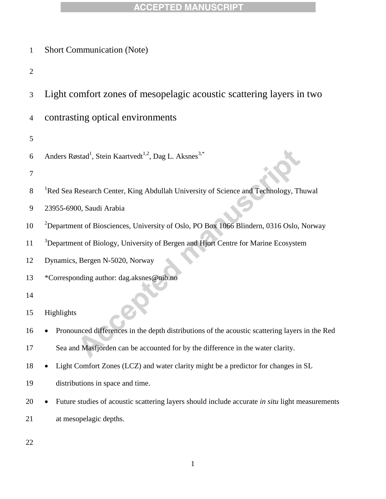| $\mathbf{1}$   | <b>Short Communication (Note)</b>                                                                   |  |  |  |  |  |  |  |
|----------------|-----------------------------------------------------------------------------------------------------|--|--|--|--|--|--|--|
| $\mathfrak{2}$ |                                                                                                     |  |  |  |  |  |  |  |
| 3              | Light comfort zones of mesopelagic acoustic scattering layers in two                                |  |  |  |  |  |  |  |
| 4              | contrasting optical environments                                                                    |  |  |  |  |  |  |  |
| 5              |                                                                                                     |  |  |  |  |  |  |  |
| 6              | Anders Røstad <sup>1</sup> , Stein Kaartvedt <sup>1,2</sup> , Dag L. Aksnes <sup>3,*</sup>          |  |  |  |  |  |  |  |
| 7              |                                                                                                     |  |  |  |  |  |  |  |
| 8              | <sup>1</sup> Red Sea Research Center, King Abdullah University of Science and Technology, Thuwal    |  |  |  |  |  |  |  |
| 9              | 23955-6900, Saudi Arabia                                                                            |  |  |  |  |  |  |  |
| 10             | <sup>2</sup> Department of Biosciences, University of Oslo, PO Box 1066 Blindern, 0316 Oslo, Norway |  |  |  |  |  |  |  |
| 11             | <sup>3</sup> Department of Biology, University of Bergen and Hjort Centre for Marine Ecosystem      |  |  |  |  |  |  |  |
| 12             | Dynamics, Bergen N-5020, Norway                                                                     |  |  |  |  |  |  |  |
| 13             | *Corresponding author: dag.aksnes@uib.no                                                            |  |  |  |  |  |  |  |
| 14             |                                                                                                     |  |  |  |  |  |  |  |
| 15             | Highlights                                                                                          |  |  |  |  |  |  |  |
| 16             | Pronounced differences in the depth distributions of the acoustic scattering layers in the Red<br>٠ |  |  |  |  |  |  |  |
| 17             | Sea and Masfjorden can be accounted for by the difference in the water clarity.                     |  |  |  |  |  |  |  |
| 18             | Light Comfort Zones (LCZ) and water clarity might be a predictor for changes in SL                  |  |  |  |  |  |  |  |
| 19             | distributions in space and time.                                                                    |  |  |  |  |  |  |  |
| 20             | Future studies of acoustic scattering layers should include accurate in situ light measurements     |  |  |  |  |  |  |  |
| 21             | at mesopelagic depths.                                                                              |  |  |  |  |  |  |  |
|                |                                                                                                     |  |  |  |  |  |  |  |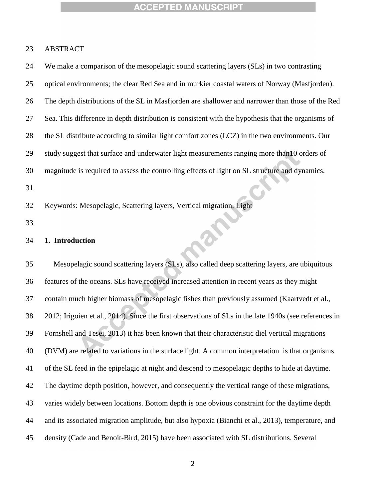# ABSTRACT

| 24 | We make a comparison of the mesopelagic sound scattering layers (SLs) in two contrasting               |
|----|--------------------------------------------------------------------------------------------------------|
| 25 | optical environments; the clear Red Sea and in murkier coastal waters of Norway (Masfjorden).          |
| 26 | The depth distributions of the SL in Masfjorden are shallower and narrower than those of the Red       |
| 27 | Sea. This difference in depth distribution is consistent with the hypothesis that the organisms of     |
| 28 | the SL distribute according to similar light comfort zones (LCZ) in the two environments. Our          |
| 29 | study suggest that surface and underwater light measurements ranging more than10 orders of             |
| 30 | magnitude is required to assess the controlling effects of light on SL structure and dynamics.         |
| 31 |                                                                                                        |
| 32 | Keywords: Mesopelagic, Scattering layers, Vertical migration, Light                                    |
| 33 |                                                                                                        |
| 34 | 1. Introduction                                                                                        |
| 35 | Mesopelagic sound scattering layers (SLs), also called deep scattering layers, are ubiquitous          |
| 36 | features of the oceans. SLs have received increased attention in recent years as they might            |
| 37 | contain much higher biomass of mesopelagic fishes than previously assumed (Kaartvedt et al.,           |
| 38 | 2012; Irigoien et al., 2014). Since the first observations of SLs in the late 1940s (see references in |
| 39 | Fornshell and Tesei, 2013) it has been known that their characteristic diel vertical migrations        |
| 40 | (DVM) are related to variations in the surface light. A common interpretation is that organisms        |
| 41 | of the SL feed in the epipelagic at night and descend to mesopelagic depths to hide at daytime.        |
| 42 | The daytime depth position, however, and consequently the vertical range of these migrations,          |
| 43 | varies widely between locations. Bottom depth is one obvious constraint for the daytime depth          |
| 44 | and its associated migration amplitude, but also hypoxia (Bianchi et al., 2013), temperature, and      |
| 45 | density (Cade and Benoit-Bird, 2015) have been associated with SL distributions. Several               |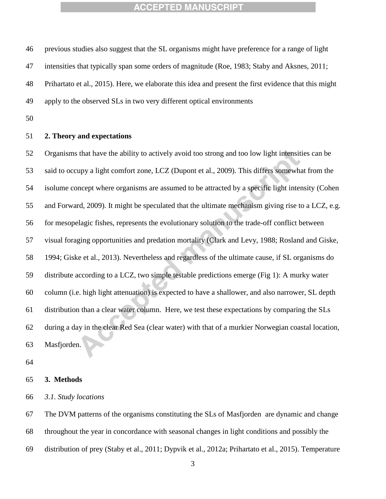previous studies also suggest that the SL organisms might have preference for a range of light intensities that typically span some orders of magnitude (Roe, 1983; Staby and Aksnes, 2011; Prihartato et al., 2015). Here, we elaborate this idea and present the first evidence that this might

apply to the observed SLs in two very different optical environments

#### **2. Theory and expectations**

 Organisms that have the ability to actively avoid too strong and too low light intensities can be said to occupy a light comfort zone, LCZ (Dupont et al., 2009). This differs somewhat from the isolume concept where organisms are assumed to be attracted by a specific light intensity (Cohen and Forward, 2009). It might be speculated that the ultimate mechanism giving rise to a LCZ, e.g. for mesopelagic fishes, represents the evolutionary solution to the trade-off conflict between visual foraging opportunities and predation mortality (Clark and Levy, 1988; Rosland and Giske, 1994; Giske et al., 2013). Nevertheless and regardless of the ultimate cause, if SL organisms do distribute according to a LCZ, two simple testable predictions emerge (Fig 1): A murky water column (i.e. high light attenuation) is expected to have a shallower, and also narrower, SL depth distribution than a clear water column. Here, we test these expectations by comparing the SLs during a day in the clear Red Sea (clear water) with that of a murkier Norwegian coastal location, Masfjorden.

#### **3. Methods**

*3.1. Study locations*

 The DVM patterns of the organisms constituting the SLs of Masfjorden are dynamic and change throughout the year in concordance with seasonal changes in light conditions and possibly the distribution of prey (Staby et al., 2011; Dypvik et al., 2012a; Prihartato et al., 2015). Temperature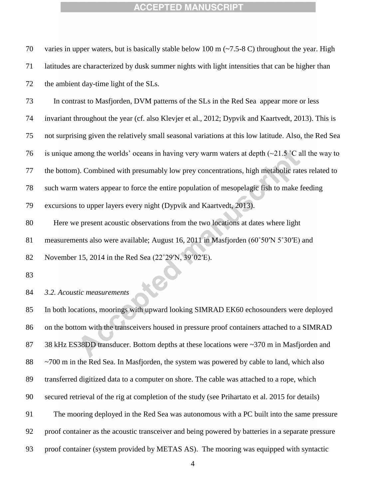| 70 | varies in upper waters, but is basically stable below 100 m $(-7.5-8)$ c) throughout the year. High           |
|----|---------------------------------------------------------------------------------------------------------------|
| 71 | latitudes are characterized by dusk summer nights with light intensities that can be higher than              |
| 72 | the ambient day-time light of the SLs.                                                                        |
| 73 | In contrast to Masfjorden, DVM patterns of the SLs in the Red Sea appear more or less                         |
| 74 | invariant throughout the year (cf. also Klevjer et al., 2012; Dypvik and Kaartvedt, 2013). This is            |
| 75 | not surprising given the relatively small seasonal variations at this low latitude. Also, the Red Sea         |
| 76 | is unique among the worlds' oceans in having very warm waters at depth $(\sim 21.5 \degree C)$ all the way to |
| 77 | the bottom). Combined with presumably low prey concentrations, high metabolic rates related to                |
| 78 | such warm waters appear to force the entire population of mesopelagic fish to make feeding                    |
| 79 | excursions to upper layers every night (Dypvik and Kaartvedt, 2013).                                          |
| 80 | Here we present acoustic observations from the two locations at dates where light                             |
| 81 | measurements also were available; August 16, 2011 in Masfjorden (60°50'N 5°30'E) and                          |
| 82 | November 15, 2014 in the Red Sea (22°29′N, 39°02′E).                                                          |
| 83 |                                                                                                               |
| 84 | 3.2. Acoustic measurements                                                                                    |

#### *3.2. Acoustic measurements*

 In both locations, moorings with upward looking SIMRAD EK60 echosounders were deployed on the bottom with the transceivers housed in pressure proof containers attached to a SIMRAD 87 38 kHz ES38DD transducer. Bottom depths at these locations were ~370 m in Masfjorden and 88 ~700 m in the Red Sea. In Masfjorden, the system was powered by cable to land, which also transferred digitized data to a computer on shore. The cable was attached to a rope, which secured retrieval of the rig at completion of the study (see Prihartato et al. 2015 for details) The mooring deployed in the Red Sea was autonomous with a PC built into the same pressure proof container as the acoustic transceiver and being powered by batteries in a separate pressure proof container (system provided by METAS AS). The mooring was equipped with syntactic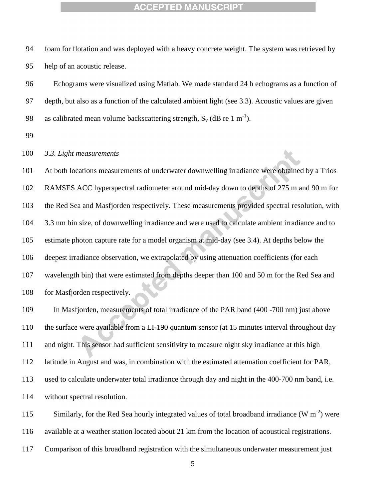foam for flotation and was deployed with a heavy concrete weight. The system was retrieved by help of an acoustic release.

 Echograms were visualized using Matlab. We made standard 24 h echograms as a function of depth, but also as a function of the calculated ambient light (see 3.3). Acoustic values are given 98 as calibrated mean volume backscattering strength,  $S_v$  (dB re 1 m<sup>-1</sup>).

#### *3.3. Light measurements*

 At both locations measurements of underwater downwelling irradiance were obtained by a Trios RAMSES ACC hyperspectral radiometer around mid-day down to depths of 275 m and 90 m for the Red Sea and Masfjorden respectively. These measurements provided spectral resolution, with 3.3 nm bin size, of downwelling irradiance and were used to calculate ambient irradiance and to estimate photon capture rate for a model organism at mid-day (see 3.4). At depths below the deepest irradiance observation, we extrapolated by using attenuation coefficients (for each wavelength bin) that were estimated from depths deeper than 100 and 50 m for the Red Sea and 108 for Masfjorden respectively.

 In Masfjorden, measurements of total irradiance of the PAR band (400 -700 nm) just above the surface were available from a LI-190 quantum sensor (at 15 minutes interval throughout day and night. This sensor had sufficient sensitivity to measure night sky irradiance at this high latitude in August and was, in combination with the estimated attenuation coefficient for PAR, used to calculate underwater total irradiance through day and night in the 400-700 nm band, i.e. without spectral resolution.

115 Similarly, for the Red Sea hourly integrated values of total broadband irradiance  $(W m^{-2})$  were available at a weather station located about 21 km from the location of acoustical registrations. Comparison of this broadband registration with the simultaneous underwater measurement just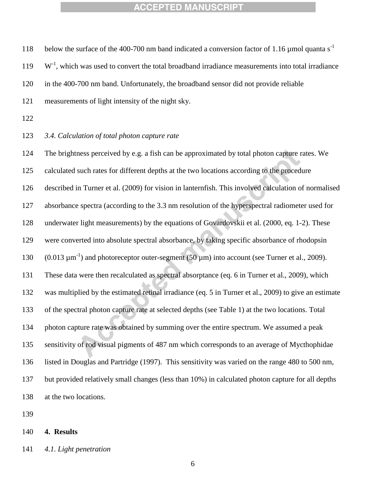118 below the surface of the 400-700 nm band indicated a conversion factor of 1.16  $\mu$ mol quanta s<sup>-1</sup>  $119 \text{ W}$ <sup>-1</sup>, which was used to convert the total broadband irradiance measurements into total irradiance in the 400-700 nm band. Unfortunately, the broadband sensor did not provide reliable measurements of light intensity of the night sky. *3.4. Calculation of total photon capture rate* The brightness perceived by e.g. a fish can be approximated by total photon capture rates. We calculated such rates for different depths at the two locations according to the procedure described in Turner et al. (2009) for vision in lanternfish. This involved calculation of normalised absorbance spectra (according to the 3.3 nm resolution of the hyperspectral radiometer used for underwater light measurements) by the equations of Govardovskii et al. (2000, eq. 1-2). These were converted into absolute spectral absorbance, by taking specific absorbance of rhodopsin

130  $(0.013 \text{ µm}^{-1})$  and photoreceptor outer-segment  $(50 \text{ µm})$  into account (see Turner et al., 2009).

These data were then recalculated as spectral absorptance (eq. 6 in Turner et al., 2009), which

was multiplied by the estimated retinal irradiance (eq. 5 in Turner et al., 2009) to give an estimate

of the spectral photon capture rate at selected depths (see Table 1) at the two locations. Total

photon capture rate was obtained by summing over the entire spectrum. We assumed a peak

sensitivity of rod visual pigments of 487 nm which corresponds to an average of Mycthophidae

listed in Douglas and Partridge (1997). This sensitivity was varied on the range 480 to 500 nm,

 but provided relatively small changes (less than 10%) in calculated photon capture for all depths at the two locations.

#### **4. Results**

*4.1. Light penetration*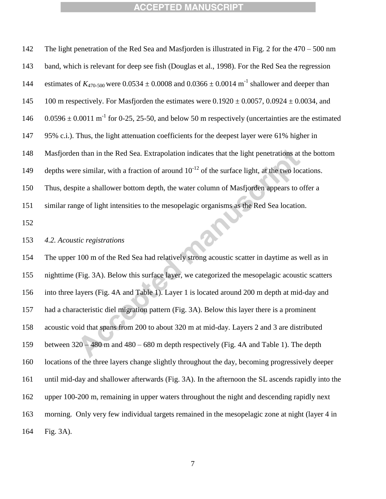| 142 | The light penetration of the Red Sea and Masfjorden is illustrated in Fig. 2 for the $470 - 500$ nm               |
|-----|-------------------------------------------------------------------------------------------------------------------|
| 143 | band, which is relevant for deep see fish (Douglas et al., 1998). For the Red Sea the regression                  |
| 144 | estimates of $K_{470-500}$ were 0.0534 ± 0.0008 and 0.0366 ± 0.0014 m <sup>-1</sup> shallower and deeper than     |
| 145 | 100 m respectively. For Masfjorden the estimates were $0.1920 \pm 0.0057$ , $0.0924 \pm 0.0034$ , and             |
| 146 | $0.0596 \pm 0.0011$ m <sup>-1</sup> for 0-25, 25-50, and below 50 m respectively (uncertainties are the estimated |
| 147 | 95% c.i.). Thus, the light attenuation coefficients for the deepest layer were 61% higher in                      |
| 148 | Masfjorden than in the Red Sea. Extrapolation indicates that the light penetrations at the bottom                 |
| 149 | depths were similar, with a fraction of around $10^{-12}$ of the surface light, at the two locations.             |
| 150 | Thus, despite a shallower bottom depth, the water column of Masfjorden appears to offer a                         |
| 151 | similar range of light intensities to the mesopelagic organisms as the Red Sea location.                          |
| 152 |                                                                                                                   |
| 153 | 4.2. Acoustic registrations                                                                                       |
| 154 | The upper 100 m of the Red Sea had relatively strong acoustic scatter in daytime as well as in                    |
|     |                                                                                                                   |

 nighttime (Fig. 3A). Below this surface layer, we categorized the mesopelagic acoustic scatters into three layers (Fig. 4A and Table 1). Layer 1 is located around 200 m depth at mid-day and had a characteristic diel migration pattern (Fig. 3A). Below this layer there is a prominent acoustic void that spans from 200 to about 320 m at mid-day. Layers 2 and 3 are distributed between 320 – 480 m and 480 – 680 m depth respectively (Fig. 4A and Table 1). The depth locations of the three layers change slightly throughout the day, becoming progressively deeper until mid-day and shallower afterwards (Fig. 3A). In the afternoon the SL ascends rapidly into the upper 100-200 m, remaining in upper waters throughout the night and descending rapidly next morning. Only very few individual targets remained in the mesopelagic zone at night (layer 4 in Fig. 3A).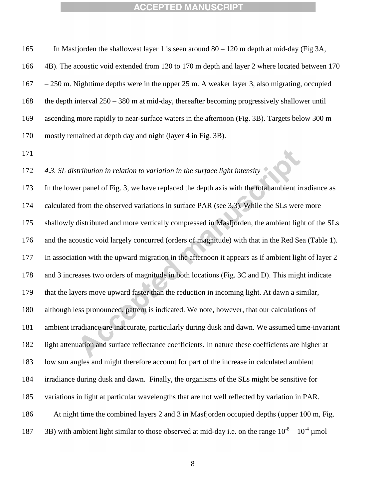In Masfjorden the shallowest layer 1 is seen around 80 – 120 m depth at mid-day (Fig 3A, 4B). The acoustic void extended from 120 to 170 m depth and layer 2 where located between 170 – 250 m. Nighttime depths were in the upper 25 m. A weaker layer 3, also migrating, occupied the depth interval 250 – 380 m at mid-day, thereafter becoming progressively shallower until ascending more rapidly to near-surface waters in the afternoon (Fig. 3B). Targets below 300 m mostly remained at depth day and night (layer 4 in Fig. 3B).

*4.3. SL distribution in relation to variation in the surface light intensity*

 In the lower panel of Fig. 3, we have replaced the depth axis with the total ambient irradiance as calculated from the observed variations in surface PAR (see 3.3). While the SLs were more shallowly distributed and more vertically compressed in Masfjorden, the ambient light of the SLs and the acoustic void largely concurred (orders of magnitude) with that in the Red Sea (Table 1). In association with the upward migration in the afternoon it appears as if ambient light of layer 2 and 3 increases two orders of magnitude in both locations (Fig. 3C and D). This might indicate that the layers move upward faster than the reduction in incoming light. At dawn a similar, although less pronounced, pattern is indicated. We note, however, that our calculations of ambient irradiance are inaccurate, particularly during dusk and dawn. We assumed time-invariant light attenuation and surface reflectance coefficients. In nature these coefficients are higher at low sun angles and might therefore account for part of the increase in calculated ambient irradiance during dusk and dawn. Finally, the organisms of the SLs might be sensitive for variations in light at particular wavelengths that are not well reflected by variation in PAR. At night time the combined layers 2 and 3 in Masfjorden occupied depths (upper 100 m, Fig. 187 3B) with ambient light similar to those observed at mid-day i.e. on the range  $10^{-8} - 10^{-4}$  µmol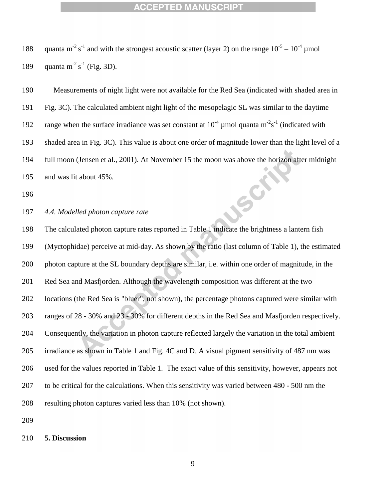188 quanta m<sup>-2</sup> s<sup>-1</sup> and with the strongest acoustic scatter (layer 2) on the range  $10^{-5} - 10^{-4}$  µmol 189 quanta m<sup>-2</sup> s<sup>-1</sup> (Fig. 3D).

 Measurements of night light were not available for the Red Sea (indicated with shaded area in Fig. 3C). The calculated ambient night light of the mesopelagic SL was similar to the daytime 192 range when the surface irradiance was set constant at  $10^{-4}$  µmol quanta m<sup>-2</sup>s<sup>-1</sup> (indicated with shaded area in Fig. 3C). This value is about one order of magnitude lower than the light level of a full moon (Jensen et al., 2001). At November 15 the moon was above the horizon after midnight and was lit about 45%. Soi

*4.4. Modelled photon capture rate*

 The calculated photon capture rates reported in Table 1 indicate the brightness a lantern fish (Myctophidae) perceive at mid-day. As shown by the ratio (last column of Table 1), the estimated photon capture at the SL boundary depths are similar, i.e. within one order of magnitude, in the Red Sea and Masfjorden. Although the wavelength composition was different at the two locations (the Red Sea is "bluer", not shown), the percentage photons captured were similar with ranges of 28 - 30% and 23 - 30% for different depths in the Red Sea and Masfjorden respectively. Consequently, the variation in photon capture reflected largely the variation in the total ambient irradiance as shown in Table 1 and Fig. 4C and D. A visual pigment sensitivity of 487 nm was used for the values reported in Table 1. The exact value of this sensitivity, however, appears not to be critical for the calculations. When this sensitivity was varied between 480 - 500 nm the resulting photon captures varied less than 10% (not shown).

**5. Discussion**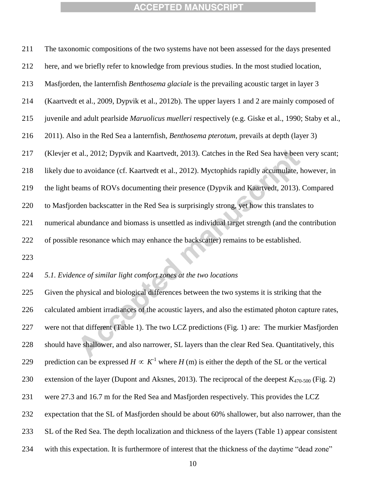The taxonomic compositions of the two systems have not been assessed for the days presented

 here, and we briefly refer to knowledge from previous studies. In the most studied location, Masfjorden, the lanternfish *Benthosema glaciale* is the prevailing acoustic target in layer 3 (Kaartvedt et al., 2009, Dypvik et al., 2012b). The upper layers 1 and 2 are mainly composed of juvenile and adult pearlside *Maruolicus muelleri* respectively (e.g. Giske et al., 1990; Staby et al., 2011). Also in the Red Sea a lanternfish, *Benthosema pterotum*, prevails at depth (layer 3) (Klevjer et al., 2012; Dypvik and Kaartvedt, 2013). Catches in the Red Sea have been very scant; likely due to avoidance (cf. Kaartvedt et al., 2012). Myctophids rapidly accumulate, however, in the light beams of ROVs documenting their presence (Dypvik and Kaartvedt, 2013). Compared to Masfjorden backscatter in the Red Sea is surprisingly strong, yet how this translates to numerical abundance and biomass is unsettled as individual target strength (and the contribution of possible resonance which may enhance the backscatter) remains to be established. 

#### *5.1. Evidence of similar light comfort zones at the two locations*

 Given the physical and biological differences between the two systems it is striking that the calculated ambient irradiances of the acoustic layers, and also the estimated photon capture rates, were not that different (Table 1). The two LCZ predictions (Fig. 1) are: The murkier Masfjorden should have shallower, and also narrower, SL layers than the clear Red Sea. Quantitatively, this 229 prediction can be expressed  $H \propto K^1$  where  $H(m)$  is either the depth of the SL or the vertical extension of the layer (Dupont and Aksnes, 2013). The reciprocal of the deepest *K*470-500 (Fig. 2) were 27.3 and 16.7 m for the Red Sea and Masfjorden respectively. This provides the LCZ expectation that the SL of Masfjorden should be about 60% shallower, but also narrower, than the SL of the Red Sea. The depth localization and thickness of the layers (Table 1) appear consistent with this expectation. It is furthermore of interest that the thickness of the daytime "dead zone"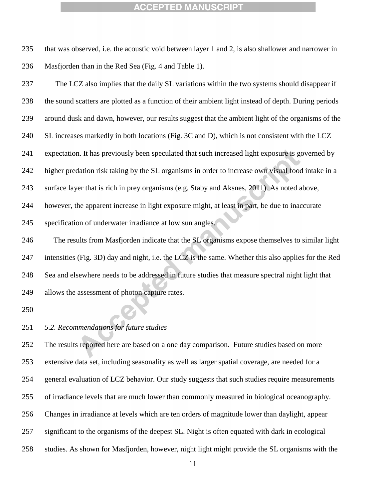that was observed, i.e. the acoustic void between layer 1 and 2, is also shallower and narrower in Masfjorden than in the Red Sea (Fig. 4 and Table 1).

 The LCZ also implies that the daily SL variations within the two systems should disappear if the sound scatters are plotted as a function of their ambient light instead of depth. During periods around dusk and dawn, however, our results suggest that the ambient light of the organisms of the SL increases markedly in both locations (Fig. 3C and D), which is not consistent with the LCZ expectation. It has previously been speculated that such increased light exposure is governed by higher predation risk taking by the SL organisms in order to increase own visual food intake in a surface layer that is rich in prey organisms (e.g. Staby and Aksnes, 2011). As noted above, however, the apparent increase in light exposure might, at least in part, be due to inaccurate specification of underwater irradiance at low sun angles. The results from Masfjorden indicate that the SL organisms expose themselves to similar light intensities (Fig. 3D) day and night, i.e. the LCZ is the same. Whether this also applies for the Red Sea and elsewhere needs to be addressed in future studies that measure spectral night light that allows the assessment of photon capture rates.

#### *5.2. Recommendations for future studies*

 The results reported here are based on a one day comparison. Future studies based on more extensive data set, including seasonality as well as larger spatial coverage, are needed for a general evaluation of LCZ behavior. Our study suggests that such studies require measurements of irradiance levels that are much lower than commonly measured in biological oceanography. Changes in irradiance at levels which are ten orders of magnitude lower than daylight, appear significant to the organisms of the deepest SL. Night is often equated with dark in ecological studies. As shown for Masfjorden, however, night light might provide the SL organisms with the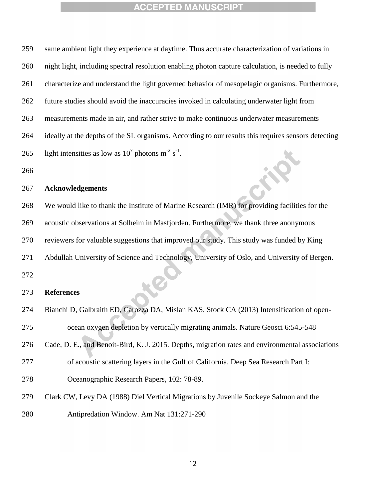| 259 | same ambient light they experience at daytime. Thus accurate characterization of variations in      |
|-----|-----------------------------------------------------------------------------------------------------|
| 260 | night light, including spectral resolution enabling photon capture calculation, is needed to fully  |
| 261 | characterize and understand the light governed behavior of mesopelagic organisms. Furthermore,      |
| 262 | future studies should avoid the inaccuracies invoked in calculating underwater light from           |
| 263 | measurements made in air, and rather strive to make continuous underwater measurements              |
| 264 | ideally at the depths of the SL organisms. According to our results this requires sensors detecting |
| 265 | light intensities as low as $10^7$ photons m <sup>-2</sup> s <sup>-1</sup> .                        |
| 266 |                                                                                                     |
| 267 | <b>Acknowledgements</b>                                                                             |
| 268 | We would like to thank the Institute of Marine Research (IMR) for providing facilities for the      |
| 269 | acoustic observations at Solheim in Masfjorden. Furthermore, we thank three anonymous               |
| 270 | reviewers for valuable suggestions that improved our study. This study was funded by King           |
| 271 | Abdullah University of Science and Technology, University of Oslo, and University of Bergen.        |
| 272 |                                                                                                     |
| 273 | <b>References</b>                                                                                   |
| 274 | Bianchi D, Galbraith ED, Carozza DA, Mislan KAS, Stock CA (2013) Intensification of open-           |

| 275 |  |  | ocean oxygen depletion by vertically migrating animals. Nature Geosci 6:545-548 |
|-----|--|--|---------------------------------------------------------------------------------|
|-----|--|--|---------------------------------------------------------------------------------|

- Cade, D. E., and Benoit-Bird, K. J. 2015. Depths, migration rates and environmental associations
- of acoustic scattering layers in the Gulf of California. Deep Sea Research Part I:
- Oceanographic Research Papers, 102: 78-89.
- Clark CW, Levy DA (1988) Diel Vertical Migrations by Juvenile Sockeye Salmon and the
- Antipredation Window. Am Nat 131:271-290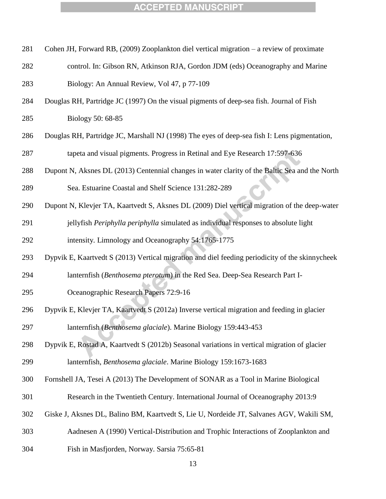|  | 281 Cohen JH, Forward RB, (2009) Zooplankton diel vertical migration – a review of proximate |  |  |  |
|--|----------------------------------------------------------------------------------------------|--|--|--|
|  |                                                                                              |  |  |  |

- control. In: Gibson RN, Atkinson RJA, Gordon JDM (eds) Oceanography and Marine Biology: An Annual Review, Vol 47, p 77-109
- Douglas RH, Partridge JC (1997) On the visual pigments of deep-sea fish. Journal of Fish

Biology 50: 68-85

Douglas RH, Partridge JC, Marshall NJ (1998) The eyes of deep-sea fish I: Lens pigmentation,

tapeta and visual pigments. Progress in Retinal and Eye Research 17:597-636

Dupont N, Aksnes DL (2013) Centennial changes in water clarity of the Baltic Sea and the North

Sea. Estuarine Coastal and Shelf Science 131:282-289

- Dupont N, Klevjer TA, Kaartvedt S, Aksnes DL (2009) Diel vertical migration of the deep-water
- jellyfish *Periphylla periphylla* simulated as individual responses to absolute light

intensity. Limnology and Oceanography 54:1765-1775

Dypvik E, Kaartvedt S (2013) Vertical migration and diel feeding periodicity of the skinnycheek

- lanternfish (*Benthosema pterotum*) in the Red Sea. Deep-Sea Research Part I-
- Oceanographic Research Papers 72:9-16
- Dypvik E, Klevjer TA, Kaartvedt S (2012a) Inverse vertical migration and feeding in glacier lanternfish (*Benthosema glaciale*). Marine Biology 159:443-453
- Dypvik E, Rostad A, Kaartvedt S (2012b) Seasonal variations in vertical migration of glacier lanternfish, *Benthosema glaciale*. Marine Biology 159:1673-1683
- Fornshell JA, Tesei A (2013) The Development of SONAR as a Tool in Marine Biological
- Research in the Twentieth Century. International Journal of Oceanography 2013:9
- Giske J, Aksnes DL, Balino BM, Kaartvedt S, Lie U, Nordeide JT, Salvanes AGV, Wakili SM,
- Aadnesen A (1990) Vertical-Distribution and Trophic Interactions of Zooplankton and
- Fish in Masfjorden, Norway. Sarsia 75:65-81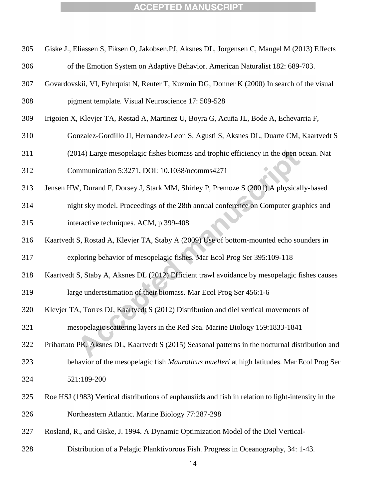| 305 | Giske J., Eliassen S, Fiksen O, Jakobsen, PJ, Aksnes DL, Jorgensen C, Mangel M (2013) Effects       |
|-----|-----------------------------------------------------------------------------------------------------|
| 306 | of the Emotion System on Adaptive Behavior. American Naturalist 182: 689-703.                       |
| 307 | Govardovskii, VI, Fyhrquist N, Reuter T, Kuzmin DG, Donner K (2000) In search of the visual         |
| 308 | pigment template. Visual Neuroscience 17: 509-528                                                   |
| 309 | Irigoien X, Klevjer TA, Røstad A, Martinez U, Boyra G, Acuña JL, Bode A, Echevarria F,              |
| 310 | Gonzalez-Gordillo JI, Hernandez-Leon S, Agusti S, Aksnes DL, Duarte CM, Kaartvedt S                 |
| 311 | (2014) Large mesopelagic fishes biomass and trophic efficiency in the open ocean. Nat               |
| 312 | Communication 5:3271, DOI: 10.1038/ncomms4271                                                       |
| 313 | Jensen HW, Durand F, Dorsey J, Stark MM, Shirley P, Premoze S (2001) A physically-based             |
| 314 | night sky model. Proceedings of the 28th annual conference on Computer graphics and                 |
| 315 | interactive techniques. ACM, p 399-408                                                              |
| 316 | Kaartvedt S, Rostad A, Klevjer TA, Staby A (2009) Use of bottom-mounted echo sounders in            |
| 317 | exploring behavior of mesopelagic fishes. Mar Ecol Prog Ser 395:109-118                             |
| 318 | Kaartvedt S, Staby A, Aksnes DL (2012) Efficient trawl avoidance by mesopelagic fishes causes       |
| 319 | large underestimation of their biomass. Mar Ecol Prog Ser 456:1-6                                   |
| 320 | Klevjer TA, Torres DJ, Kaartvedt S (2012) Distribution and diel vertical movements of               |
| 321 | mesopelagic scattering layers in the Red Sea. Marine Biology 159:1833-1841                          |
| 322 | Prihartato PK, Aksnes DL, Kaartvedt S (2015) Seasonal patterns in the nocturnal distribution and    |
| 323 | behavior of the mesopelagic fish Maurolicus muelleri at high latitudes. Mar Ecol Prog Ser           |
| 324 | 521:189-200                                                                                         |
| 325 | Roe HSJ (1983) Vertical distributions of euphausiids and fish in relation to light-intensity in the |
| 326 | Northeastern Atlantic. Marine Biology 77:287-298                                                    |
| 327 | Rosland, R., and Giske, J. 1994. A Dynamic Optimization Model of the Diel Vertical-                 |
| 328 | Distribution of a Pelagic Planktivorous Fish. Progress in Oceanography, 34: 1-43.                   |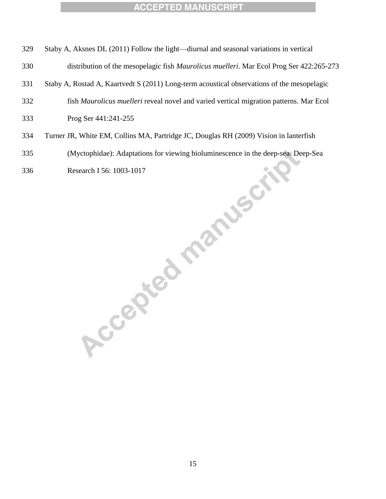- Staby A, Aksnes DL (2011) Follow the light—diurnal and seasonal variations in vertical
- distribution of the mesopelagic fish *Maurolicus muelleri*. Mar Ecol Prog Ser 422:265-273
- Staby A, Rostad A, Kaartvedt S (2011) Long-term acoustical observations of the mesopelagic
- fish *Maurolicus muelleri* reveal novel and varied vertical migration patterns. Mar Ecol
- Prog Ser 441:241-255
- Turner JR, White EM, Collins MA, Partridge JC, Douglas RH (2009) Vision in lanterfish
- (Myctophidae): Adaptations for viewing bioluminescence in the deep-sea. Deep-Sea Research I 56: 1003-1017<br>Research I 56: 1003-1017<br>Research I 56: 1003-1017
-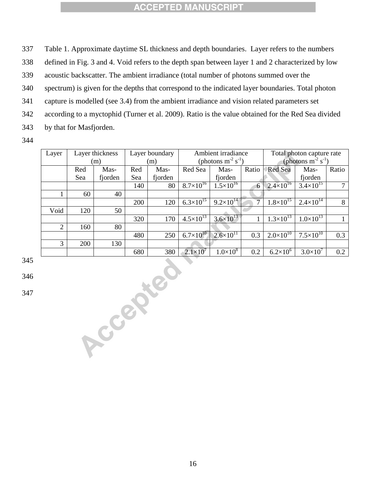337 Table 1. Approximate daytime SL thickness and depth boundaries. Layer refers to the numbers

338 defined in Fig. 3 and 4. Void refers to the depth span between layer 1 and 2 characterized by low

339 acoustic backscatter. The ambient irradiance (total number of photons summed over the

340 spectrum) is given for the depths that correspond to the indicated layer boundaries. Total photon

341 capture is modelled (see 3.4) from the ambient irradiance and vision related parameters set

342 according to a myctophid (Turner et al. 2009). Ratio is the value obtained for the Red Sea divided

343 by that for Masfjorden.

344

| Layer          | Layer thickness |         | Layer boundary |                                     | Ambient irradiance   |                      |                            | Total photon capture rate |                      |              |
|----------------|-----------------|---------|----------------|-------------------------------------|----------------------|----------------------|----------------------------|---------------------------|----------------------|--------------|
|                | (m)<br>(m)      |         |                | (photons $m^{-2}$ s <sup>-1</sup> ) |                      |                      | (photons $m^{-2} s^{-1}$ ) |                           |                      |              |
|                | Red             | Mas-    | Red            | Mas-                                | Red Sea              | Mas-                 | Ratio                      | Red Sea                   | Mas-                 | Ratio        |
|                | Sea             | fjorden | Sea            | fjorden                             |                      | fjorden              |                            |                           | fjorden              |              |
|                |                 |         | 140            | 80                                  | $8.7\times10^{16}$   | $1.5 \times 10^{16}$ | 6                          | $2.4 \times 10^{16}$      | $3.4 \times 10^{15}$ | $\tau$       |
| 1              | 60              | 40      |                |                                     |                      |                      |                            |                           |                      |              |
|                |                 |         | 200            | 120                                 | $6.3 \times 10^{15}$ | $9.2 \times 10^{14}$ | $\overline{7}$             | $1.8 \times 10^{15}$      | $2.4 \times 10^{14}$ | 8            |
| Void           | 120             | 50      |                |                                     |                      |                      |                            |                           |                      |              |
|                |                 |         | 320            | 170                                 | $4.5 \times 10^{13}$ | $3.6 \times 10^{13}$ | $\mathbf{1}$               | $1.3 \times 10^{13}$      | $1.0 \times 10^{13}$ | $\mathbf{1}$ |
| $\overline{2}$ | 160             | 80      |                |                                     |                      |                      |                            |                           |                      |              |
|                |                 |         | 480            | 250                                 | $6.7 \times 10^{10}$ | $2.6 \times 10^{11}$ | 0.3                        | $2.0 \times 10^{10}$      | $7.5 \times 10^{10}$ | 0.3          |
| 3              | 200             | 130     |                |                                     |                      |                      |                            |                           |                      |              |
|                |                 |         | 680            | 380                                 | $2.1\times10^7$      | $1.0\times10^{8}$    | 0.2                        | $6.2 \times 10^{6}$       | $3.0\times10^{7}$    | $0.2\,$      |
|                |                 |         |                |                                     |                      |                      |                            |                           |                      |              |
|                |                 |         |                |                                     |                      |                      |                            |                           |                      |              |
|                |                 |         |                |                                     |                      |                      |                            |                           |                      |              |
|                |                 |         |                |                                     |                      |                      |                            |                           |                      |              |
|                |                 |         |                |                                     |                      |                      |                            |                           |                      |              |
|                |                 |         |                |                                     |                      |                      |                            |                           |                      |              |
|                |                 |         |                |                                     |                      |                      |                            |                           |                      |              |
|                |                 |         |                |                                     |                      |                      |                            |                           |                      |              |
|                |                 |         |                |                                     |                      |                      |                            |                           |                      |              |
|                |                 |         |                |                                     |                      |                      |                            |                           |                      |              |
| Accepted       |                 |         |                |                                     |                      |                      |                            |                           |                      |              |

345

346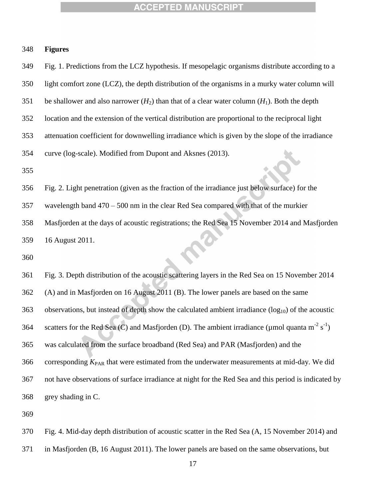| 348 | <b>Figures</b> |
|-----|----------------|
|     |                |

 Fig. 1. Predictions from the LCZ hypothesis. If mesopelagic organisms distribute according to a light comfort zone (LCZ), the depth distribution of the organisms in a murky water column will 351 be shallower and also narrower  $(H_2)$  than that of a clear water column  $(H_1)$ . Both the depth location and the extension of the vertical distribution are proportional to the reciprocal light attenuation coefficient for downwelling irradiance which is given by the slope of the irradiance curve (log-scale). Modified from Dupont and Aksnes (2013). Fig. 2. Light penetration (given as the fraction of the irradiance just below surface) for the wavelength band 470 – 500 nm in the clear Red Sea compared with that of the murkier Masfjorden at the days of acoustic registrations; the Red Sea 15 November 2014 and Masfjorden 16 August 2011. Fig. 3. Depth distribution of the acoustic scattering layers in the Red Sea on 15 November 2014 (A) and in Masfjorden on 16 August 2011 (B). The lower panels are based on the same 363 observations, but instead of depth show the calculated ambient irradiance  $(\log_{10})$  of the acoustic 364 scatters for the Red Sea (C) and Masfjorden (D). The ambient irradiance (µmol quanta m<sup>-2</sup> s<sup>-1</sup>) was calculated from the surface broadband (Red Sea) and PAR (Masfjorden) and the corresponding  $K_{PAR}$  that were estimated from the underwater measurements at mid-day. We did

grey shading in C.

 Fig. 4. Mid-day depth distribution of acoustic scatter in the Red Sea (A, 15 November 2014) and in Masfjorden (B, 16 August 2011). The lower panels are based on the same observations, but

not have observations of surface irradiance at night for the Red Sea and this period is indicated by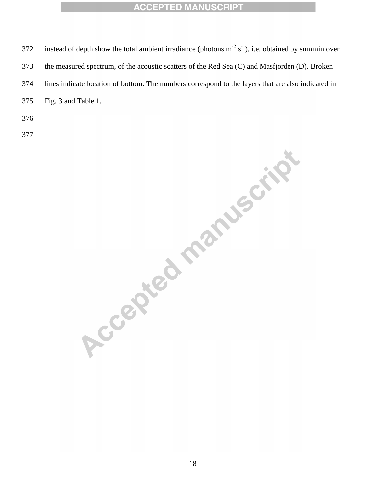372 instead of depth show the total ambient irradiance (photons  $m^{-2} s^{-1}$ ), i.e. obtained by summin over the measured spectrum, of the acoustic scatters of the Red Sea (C) and Masfjorden (D). Broken lines indicate location of bottom. The numbers correspond to the layers that are also indicated in Fig. 3 and Table 1.

Accepted manuscript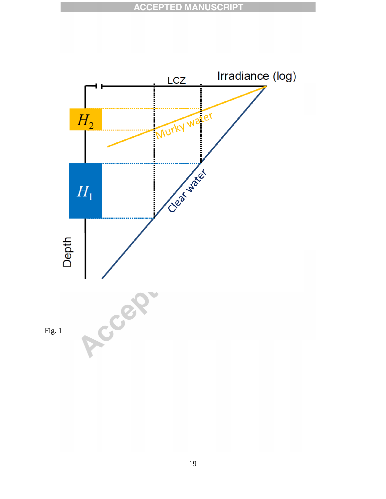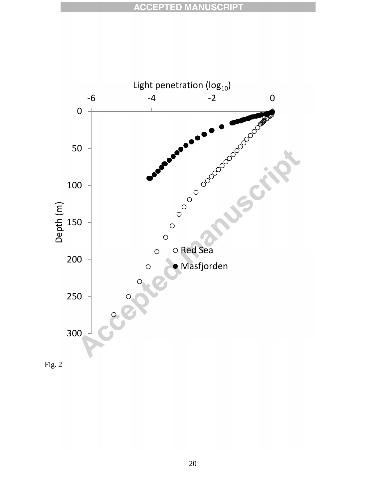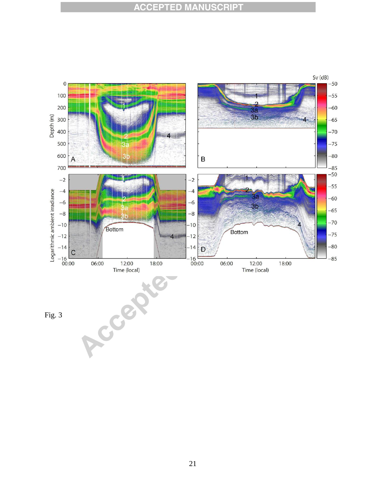